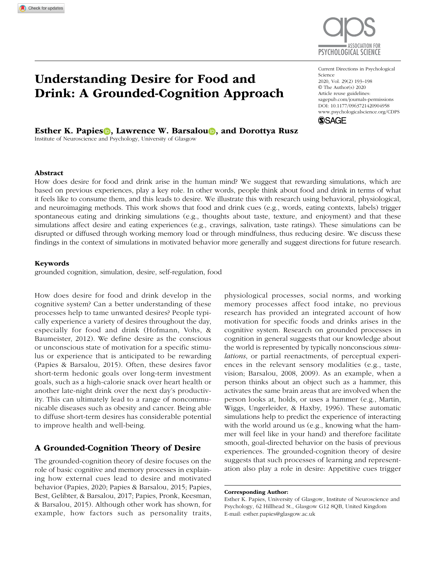# Understanding Desire for Food and Drink: A Grounded-Cognition Approach

Current Directions in Psychological Science 2020, Vol. 29(2) 193–198 © The Author(s) 2020

Article reuse guidelines: sagepub.com/journals-permissions DOI: 10.1177/0963721420904958 [www.psychologicalscience.org/CDPS](http://www.psychologicalscience.org/cdps) **SSAGE** 

Esther K. Papies **D.** Lawrence W. Barsalou<sup>n</sup> and Dorottya Rusz

Institute of Neuroscience and Psychology, University of Glasgow

#### Abstract

How does desire for food and drink arise in the human mind? We suggest that rewarding simulations, which are based on previous experiences, play a key role. In other words, people think about food and drink in terms of what it feels like to consume them, and this leads to desire. We illustrate this with research using behavioral, physiological, and neuroimaging methods. This work shows that food and drink cues (e.g., words, eating contexts, labels) trigger spontaneous eating and drinking simulations (e.g., thoughts about taste, texture, and enjoyment) and that these simulations affect desire and eating experiences (e.g., cravings, salivation, taste ratings). These simulations can be disrupted or diffused through working memory load or through mindfulness, thus reducing desire. We discuss these findings in the context of simulations in motivated behavior more generally and suggest directions for future research.

### Keywords

grounded cognition, simulation, desire, self-regulation, food

How does desire for food and drink develop in the cognitive system? Can a better understanding of these processes help to tame unwanted desires? People typically experience a variety of desires throughout the day, especially for food and drink (Hofmann, Vohs, & Baumeister, 2012). We define desire as the conscious or unconscious state of motivation for a specific stimulus or experience that is anticipated to be rewarding (Papies & Barsalou, 2015). Often, these desires favor short-term hedonic goals over long-term investment goals, such as a high-calorie snack over heart health or another late-night drink over the next day's productivity. This can ultimately lead to a range of noncommunicable diseases such as obesity and cancer. Being able to diffuse short-term desires has considerable potential to improve health and well-being.

## A Grounded-Cognition Theory of Desire

The grounded-cognition theory of desire focuses on the role of basic cognitive and memory processes in explaining how external cues lead to desire and motivated behavior (Papies, 2020; Papies & Barsalou, 2015; Papies, Best, Gelibter, & Barsalou, 2017; Papies, Pronk, Keesman, & Barsalou, 2015). Although other work has shown, for example, how factors such as personality traits, physiological processes, social norms, and working memory processes affect food intake, no previous research has provided an integrated account of how motivation for specific foods and drinks arises in the cognitive system. Research on grounded processes in cognition in general suggests that our knowledge about the world is represented by typically nonconscious *simulations*, or partial reenactments, of perceptual experiences in the relevant sensory modalities (e.g., taste, vision; Barsalou, 2008, 2009). As an example, when a person thinks about an object such as a hammer, this activates the same brain areas that are involved when the person looks at, holds, or uses a hammer (e.g., Martin, Wiggs, Ungerleider, & Haxby, 1996). These automatic simulations help to predict the experience of interacting with the world around us (e.g., knowing what the hammer will feel like in your hand) and therefore facilitate smooth, goal-directed behavior on the basis of previous experiences. The grounded-cognition theory of desire suggests that such processes of learning and representation also play a role in desire: Appetitive cues trigger



Corresponding Author:

Esther K. Papies, University of Glasgow, Institute of Neuroscience and Psychology, 62 Hillhead St., Glasgow G12 8QB, United Kingdom E-mail: [esther.papies@glasgow.ac.uk](mailto:esther.papies@glasgow.ac.uk)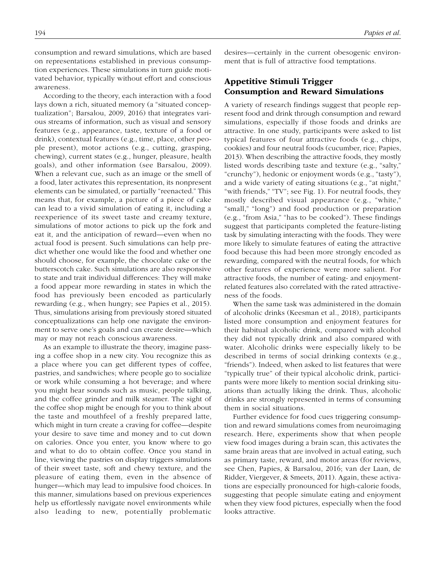consumption and reward simulations, which are based on representations established in previous consumption experiences. These simulations in turn guide motivated behavior, typically without effort and conscious awareness.

According to the theory, each interaction with a food lays down a rich, situated memory (a "situated conceptualization"; Barsalou, 2009, 2016) that integrates various streams of information, such as visual and sensory features (e.g., appearance, taste, texture of a food or drink), contextual features (e.g., time, place, other people present), motor actions (e.g., cutting, grasping, chewing), current states (e.g., hunger, pleasure, health goals), and other information (see Barsalou, 2009). When a relevant cue, such as an image or the smell of a food, later activates this representation, its nonpresent elements can be simulated, or partially "reenacted." This means that, for example, a picture of a piece of cake can lead to a vivid simulation of eating it, including a reexperience of its sweet taste and creamy texture, simulations of motor actions to pick up the fork and eat it, and the anticipation of reward—even when no actual food is present. Such simulations can help predict whether one would like the food and whether one should choose, for example, the chocolate cake or the butterscotch cake. Such simulations are also responsive to state and trait individual differences: They will make a food appear more rewarding in states in which the food has previously been encoded as particularly rewarding (e.g., when hungry; see Papies et al., 2015). Thus, simulations arising from previously stored situated conceptualizations can help one navigate the environment to serve one's goals and can create desire—which may or may not reach conscious awareness.

As an example to illustrate the theory, imagine passing a coffee shop in a new city. You recognize this as a place where you can get different types of coffee, pastries, and sandwiches; where people go to socialize or work while consuming a hot beverage; and where you might hear sounds such as music, people talking, and the coffee grinder and milk steamer. The sight of the coffee shop might be enough for you to think about the taste and mouthfeel of a freshly prepared latte, which might in turn create a craving for coffee—despite your desire to save time and money and to cut down on calories. Once you enter, you know where to go and what to do to obtain coffee. Once you stand in line, viewing the pastries on display triggers simulations of their sweet taste, soft and chewy texture, and the pleasure of eating them, even in the absence of hunger—which may lead to impulsive food choices. In this manner, simulations based on previous experiences help us effortlessly navigate novel environments while also leading to new, potentially problematic

desires—certainly in the current obesogenic environment that is full of attractive food temptations.

# Appetitive Stimuli Trigger Consumption and Reward Simulations

A variety of research findings suggest that people represent food and drink through consumption and reward simulations, especially if those foods and drinks are attractive. In one study, participants were asked to list typical features of four attractive foods (e.g., chips, cookies) and four neutral foods (cucumber, rice; Papies, 2013). When describing the attractive foods, they mostly listed words describing taste and texture (e.g., "salty," "crunchy"), hedonic or enjoyment words (e.g., "tasty"), and a wide variety of eating situations (e.g., "at night," "with friends," "TV"; see Fig. 1). For neutral foods, they mostly described visual appearance (e.g., "white," "small," "long") and food production or preparation (e.g., "from Asia," "has to be cooked"). These findings suggest that participants completed the feature-listing task by simulating interacting with the foods. They were more likely to simulate features of eating the attractive food because this had been more strongly encoded as rewarding, compared with the neutral foods, for which other features of experience were more salient. For attractive foods, the number of eating- and enjoymentrelated features also correlated with the rated attractiveness of the foods.

When the same task was administered in the domain of alcoholic drinks (Keesman et al., 2018), participants listed more consumption and enjoyment features for their habitual alcoholic drink, compared with alcohol they did not typically drink and also compared with water. Alcoholic drinks were especially likely to be described in terms of social drinking contexts (e.g., "friends"). Indeed, when asked to list features that were "typically true" of their typical alcoholic drink, participants were more likely to mention social drinking situations than actually liking the drink. Thus, alcoholic drinks are strongly represented in terms of consuming them in social situations.

Further evidence for food cues triggering consumption and reward simulations comes from neuroimaging research. Here, experiments show that when people view food images during a brain scan, this activates the same brain areas that are involved in actual eating, such as primary taste, reward, and motor areas (for reviews, see Chen, Papies, & Barsalou, 2016; van der Laan, de Ridder, Viergever, & Smeets, 2011). Again, these activations are especially pronounced for high-calorie foods, suggesting that people simulate eating and enjoyment when they view food pictures, especially when the food looks attractive.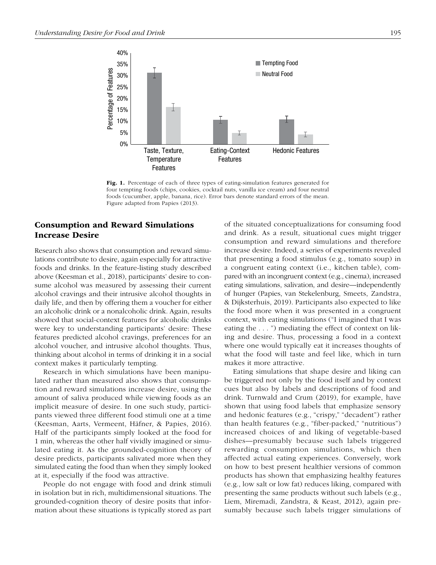

Fig. 1. Percentage of each of three types of eating-simulation features generated for four tempting foods (chips, cookies, cocktail nuts, vanilla ice cream) and four neutral foods (cucumber, apple, banana, rice). Error bars denote standard errors of the mean. Figure adapted from Papies (2013).

## Consumption and Reward Simulations Increase Desire

Research also shows that consumption and reward simulations contribute to desire, again especially for attractive foods and drinks. In the feature-listing study described above (Keesman et al., 2018), participants' desire to consume alcohol was measured by assessing their current alcohol cravings and their intrusive alcohol thoughts in daily life, and then by offering them a voucher for either an alcoholic drink or a nonalcoholic drink. Again, results showed that social-context features for alcoholic drinks were key to understanding participants' desire: These features predicted alcohol cravings, preferences for an alcohol voucher, and intrusive alcohol thoughts. Thus, thinking about alcohol in terms of drinking it in a social context makes it particularly tempting.

Research in which simulations have been manipulated rather than measured also shows that consumption and reward simulations increase desire, using the amount of saliva produced while viewing foods as an implicit measure of desire. In one such study, participants viewed three different food stimuli one at a time (Keesman, Aarts, Vermeent, Häfner, & Papies, 2016). Half of the participants simply looked at the food for 1 min, whereas the other half vividly imagined or simulated eating it. As the grounded-cognition theory of desire predicts, participants salivated more when they simulated eating the food than when they simply looked at it, especially if the food was attractive.

People do not engage with food and drink stimuli in isolation but in rich, multidimensional situations. The grounded-cognition theory of desire posits that information about these situations is typically stored as part of the situated conceptualizations for consuming food and drink. As a result, situational cues might trigger consumption and reward simulations and therefore increase desire. Indeed, a series of experiments revealed that presenting a food stimulus (e.g., tomato soup) in a congruent eating context (i.e., kitchen table), compared with an incongruent context (e.g., cinema), increased eating simulations, salivation, and desire—independently of hunger (Papies, van Stekelenburg, Smeets, Zandstra, & Dijksterhuis, 2019). Participants also expected to like the food more when it was presented in a congruent context, with eating simulations ("I imagined that I was eating the . . . ") mediating the effect of context on liking and desire. Thus, processing a food in a context where one would typically eat it increases thoughts of what the food will taste and feel like, which in turn makes it more attractive.

Eating simulations that shape desire and liking can be triggered not only by the food itself and by context cues but also by labels and descriptions of food and drink. Turnwald and Crum (2019), for example, have shown that using food labels that emphasize sensory and hedonic features (e.g., "crispy," "decadent") rather than health features (e.g., "fiber-packed," "nutritious") increased choices of and liking of vegetable-based dishes—presumably because such labels triggered rewarding consumption simulations, which then affected actual eating experiences. Conversely, work on how to best present healthier versions of common products has shown that emphasizing healthy features (e.g., low salt or low fat) reduces liking, compared with presenting the same products without such labels (e.g., Liem, Miremadi, Zandstra, & Keast, 2012), again presumably because such labels trigger simulations of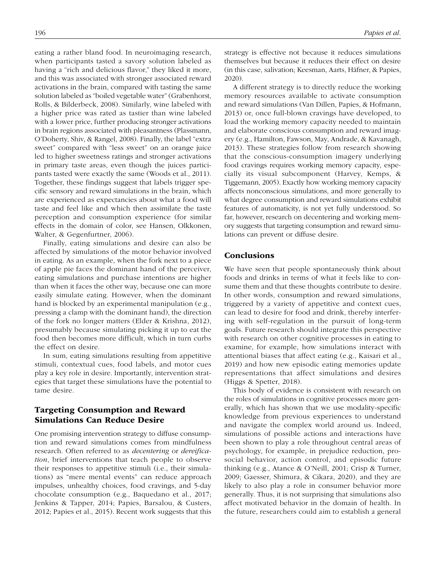eating a rather bland food. In neuroimaging research, when participants tasted a savory solution labeled as having a "rich and delicious flavor," they liked it more, and this was associated with stronger associated reward activations in the brain, compared with tasting the same solution labeled as "boiled vegetable water" (Grabenhorst, Rolls, & Bilderbeck, 2008). Similarly, wine labeled with a higher price was rated as tastier than wine labeled with a lower price, further producing stronger activations in brain regions associated with pleasantness (Plassmann, O'Doherty, Shiv, & Rangel, 2008). Finally, the label "extra sweet" compared with "less sweet" on an orange juice led to higher sweetness ratings and stronger activations in primary taste areas, even though the juices participants tasted were exactly the same (Woods et al., 2011). Together, these findings suggest that labels trigger specific sensory and reward simulations in the brain, which are experienced as expectancies about what a food will taste and feel like and which then assimilate the taste perception and consumption experience (for similar effects in the domain of color, see Hansen, Olkkonen, Walter, & Gegenfurtner, 2006).

Finally, eating simulations and desire can also be affected by simulations of the motor behavior involved in eating. As an example, when the fork next to a piece of apple pie faces the dominant hand of the perceiver, eating simulations and purchase intentions are higher than when it faces the other way, because one can more easily simulate eating. However, when the dominant hand is blocked by an experimental manipulation (e.g., pressing a clamp with the dominant hand), the direction of the fork no longer matters (Elder & Krishna, 2012), presumably because simulating picking it up to eat the food then becomes more difficult, which in turn curbs the effect on desire.

In sum, eating simulations resulting from appetitive stimuli, contextual cues, food labels, and motor cues play a key role in desire. Importantly, intervention strategies that target these simulations have the potential to tame desire.

## Targeting Consumption and Reward Simulations Can Reduce Desire

One promising intervention strategy to diffuse consumption and reward simulations comes from mindfulness research. Often referred to as *decentering* or *dereification*, brief interventions that teach people to observe their responses to appetitive stimuli (i.e., their simulations) as "mere mental events" can reduce approach impulses, unhealthy choices, food cravings, and 5-day chocolate consumption (e.g., Baquedano et al., 2017; Jenkins & Tapper, 2014; Papies, Barsalou, & Custers, 2012; Papies et al., 2015). Recent work suggests that this strategy is effective not because it reduces simulations themselves but because it reduces their effect on desire (in this case, salivation; Keesman, Aarts, Häfner, & Papies, 2020).

A different strategy is to directly reduce the working memory resources available to activate consumption and reward simulations (Van Dillen, Papies, & Hofmann, 2013) or, once full-blown cravings have developed, to load the working memory capacity needed to maintain and elaborate conscious consumption and reward imagery (e.g., Hamilton, Fawson, May, Andrade, & Kavanagh, 2013). These strategies follow from research showing that the conscious-consumption imagery underlying food cravings requires working memory capacity, especially its visual subcomponent (Harvey, Kemps, & Tiggemann, 2005). Exactly how working memory capacity affects nonconscious simulations, and more generally to what degree consumption and reward simulations exhibit features of automaticity, is not yet fully understood. So far, however, research on decentering and working memory suggests that targeting consumption and reward simulations can prevent or diffuse desire.

## Conclusions

We have seen that people spontaneously think about foods and drinks in terms of what it feels like to consume them and that these thoughts contribute to desire. In other words, consumption and reward simulations, triggered by a variety of appetitive and context cues, can lead to desire for food and drink, thereby interfering with self-regulation in the pursuit of long-term goals. Future research should integrate this perspective with research on other cognitive processes in eating to examine, for example, how simulations interact with attentional biases that affect eating (e.g., Kaisari et al., 2019) and how new episodic eating memories update representations that affect simulations and desires (Higgs & Spetter, 2018).

This body of evidence is consistent with research on the roles of simulations in cognitive processes more generally, which has shown that we use modality-specific knowledge from previous experiences to understand and navigate the complex world around us. Indeed, simulations of possible actions and interactions have been shown to play a role throughout central areas of psychology, for example, in prejudice reduction, prosocial behavior, action control, and episodic future thinking (e.g., Atance & O'Neill, 2001; Crisp & Turner, 2009; Gaesser, Shimura, & Cikara, 2020), and they are likely to also play a role in consumer behavior more generally. Thus, it is not surprising that simulations also affect motivated behavior in the domain of health. In the future, researchers could aim to establish a general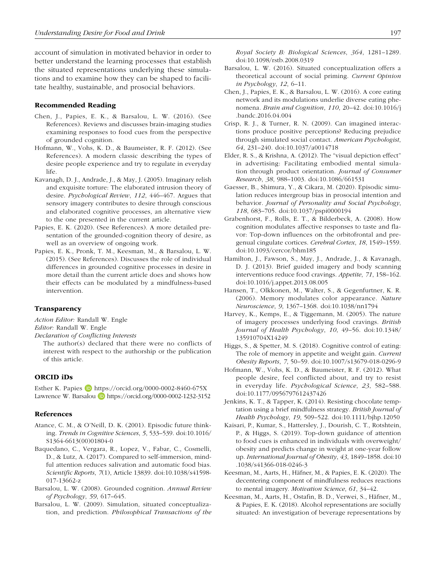account of simulation in motivated behavior in order to better understand the learning processes that establish the situated representations underlying these simulations and to examine how they can be shaped to facilitate healthy, sustainable, and prosocial behaviors.

#### Recommended Reading

- Chen, J., Papies, E. K., & Barsalou, L. W. (2016). (See References). Reviews and discusses brain-imaging studies examining responses to food cues from the perspective of grounded cognition.
- Hofmann, W., Vohs, K. D., & Baumeister, R. F. (2012). (See References). A modern classic describing the types of desire people experience and try to regulate in everyday life.
- Kavanagh, D. J., Andrade, J., & May, J. (2005). Imaginary relish and exquisite torture: The elaborated intrusion theory of desire. *Psychological Review*, *112*, 446–467. Argues that sensory imagery contributes to desire through conscious and elaborated cognitive processes, an alternative view to the one presented in the current article.
- Papies, E. K. (2020). (See References). A more detailed presentation of the grounded-cognition theory of desire, as well as an overview of ongoing work.
- Papies, E. K., Pronk, T. M., Keesman, M., & Barsalou, L. W. (2015). (See References). Discusses the role of individual differences in grounded cognitive processes in desire in more detail than the current article does and shows how their effects can be modulated by a mindfulness-based intervention.

#### Transparency

*Action Editor:* Randall W. Engle *Editor:* Randall W. Engle

*Declaration of Conflicting Interests*

The author(s) declared that there were no conflicts of interest with respect to the authorship or the publication of this article.

## ORCID iDs

Esther K. Papies  $\Box$  <https://orcid.org/0000-0002-8460-675X> Lawrence W. Barsalou (D <https://orcid.org/0000-0002-1232-3152>

#### References

- Atance, C. M., & O'Neill, D. K. (2001). Episodic future thinking. *Trends in Cognitive Sciences*, *5*, 533–539. doi:10.1016/ S1364-6613(00)01804-0
- Baquedano, C., Vergara, R., Lopez, V., Fabar, C., Cosmelli, D., & Lutz, A. (2017). Compared to self-immersion, mindful attention reduces salivation and automatic food bias. *Scientific Reports*, *7*(1), Article 13839. doi:10.1038/s41598- 017-13662-z
- Barsalou, L. W. (2008). Grounded cognition. *Annual Review of Psychology*, *59*, 617–645.
- Barsalou, L. W. (2009). Simulation, situated conceptualization, and prediction. *Philosophical Transactions of the*

*Royal Society B: Biological Sciences*, *364*, 1281–1289. doi:10.1098/rstb.2008.0319

- Barsalou, L. W. (2016). Situated conceptualization offers a theoretical account of social priming. *Current Opinion in Psychology*, *12*, 6–11.
- Chen, J., Papies, E. K., & Barsalou, L. W. (2016). A core eating network and its modulations underlie diverse eating phenomena. *Brain and Cognition*, *110*, 20–42. doi:10.1016/j .bandc.2016.04.004
- Crisp, R. J., & Turner, R. N. (2009). Can imagined interactions produce positive perceptions? Reducing prejudice through simulated social contact. *American Psychologist*, *64*, 231–240. doi:10.1037/a0014718
- Elder, R. S., & Krishna, A. (2012). The "visual depiction effect" in advertising: Facilitating embodied mental simulation through product orientation. *Journal of Consumer Research*, *38*, 988–1003. doi:10.1086/661531
- Gaesser, B., Shimura, Y., & Cikara, M. (2020). Episodic simulation reduces intergroup bias in prosocial intention and behavior. *Journal of Personality and Social Psychology*, *118*, 683–705. doi:10.1037/pspi0000194
- Grabenhorst, F., Rolls, E. T., & Bilderbeck, A. (2008). How cognition modulates affective responses to taste and flavor: Top-down influences on the orbitofrontal and pregenual cingulate cortices. *Cerebral Cortex*, *18*, 1549–1559. doi:10.1093/cercor/bhm185
- Hamilton, J., Fawson, S., May, J., Andrade, J., & Kavanagh, D. J. (2013). Brief guided imagery and body scanning interventions reduce food cravings. *Appetite*, *71*, 158–162. doi:10.1016/j.appet.2013.08.005
- Hansen, T., Olkkonen, M., Walter, S., & Gegenfurtner, K. R. (2006). Memory modulates color appearance. *Nature Neuroscience*, *9*, 1367–1368. doi:10.1038/nn1794
- Harvey, K., Kemps, E., & Tiggemann, M. (2005). The nature of imagery processes underlying food cravings. *British Journal of Health Psychology*, *10*, 49–56. doi:10.1348/ 135910704X14249
- Higgs, S., & Spetter, M. S. (2018). Cognitive control of eating: The role of memory in appetite and weight gain. *Current Obesity Reports*, *7*, 50–59. doi:10.1007/s13679-018-0296-9
- Hofmann, W., Vohs, K. D., & Baumeister, R. F. (2012). What people desire, feel conflicted about, and try to resist in everyday life. *Psychological Science*, *23*, 582–588. doi:10.1177/0956797612437426
- Jenkins, K. T., & Tapper, K. (2014). Resisting chocolate temptation using a brief mindfulness strategy. *British Journal of Health Psychology*, *19*, 509–522. doi:10.1111/bjhp.12050
- Kaisari, P., Kumar, S., Hattersley, J., Dourish, C. T., Rotshtein, P., & Higgs, S. (2019). Top-down guidance of attention to food cues is enhanced in individuals with overweight/ obesity and predicts change in weight at one-year follow up. *International Journal of Obesity*, *43*, 1849–1858. doi:10 .1038/s41366-018-0246-3
- Keesman, M., Aarts, H., Häfner, M., & Papies, E. K. (2020). The decentering component of mindfulness reduces reactions to mental imagery. *Motivation Science*, *61*, 34–42.
- Keesman, M., Aarts, H., Ostafin, B. D., Verwei, S., Häfner, M., & Papies, E. K. (2018). Alcohol representations are socially situated: An investigation of beverage representations by